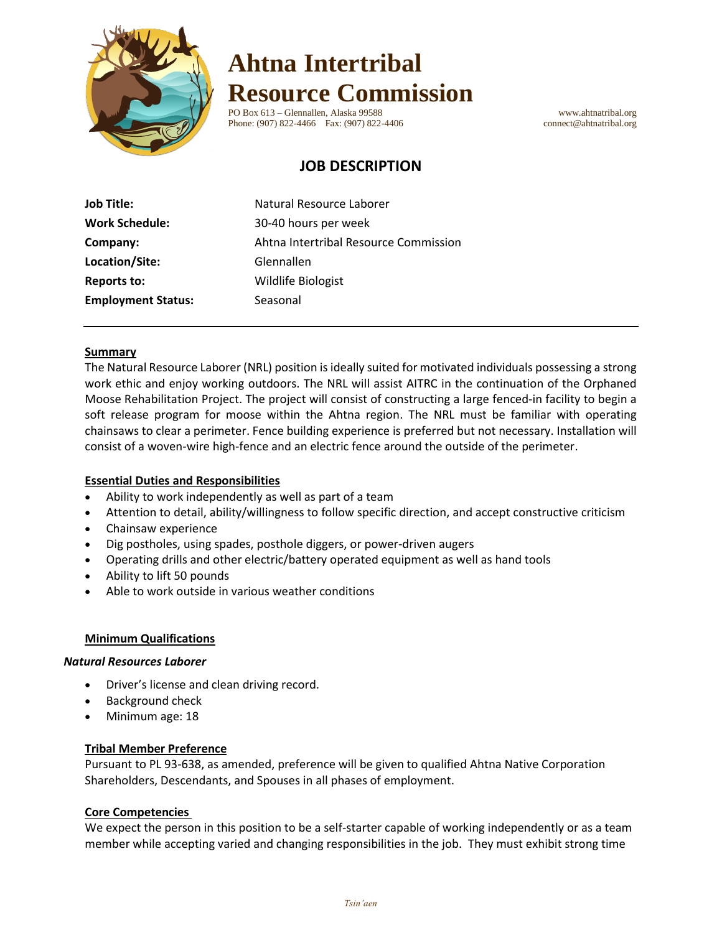

# **Ahtna Intertribal Resource Commission**

PO Box 613 – Glennallen, Alaska 99588 www.ahtnatribal.org Phone: (907) 822-4466 Fax: (907) 822-4406 connect@ahtnatribal.org

# **JOB DESCRIPTION**

| <b>Job Title:</b>         | Natural Resource Laborer              |  |
|---------------------------|---------------------------------------|--|
| <b>Work Schedule:</b>     | 30-40 hours per week                  |  |
| Company:                  | Ahtna Intertribal Resource Commission |  |
| Location/Site:            | Glennallen                            |  |
| <b>Reports to:</b>        | Wildlife Biologist                    |  |
| <b>Employment Status:</b> | Seasonal                              |  |

#### **Summary**

The Natural Resource Laborer (NRL) position is ideally suited for motivated individuals possessing a strong work ethic and enjoy working outdoors. The NRL will assist AITRC in the continuation of the Orphaned Moose Rehabilitation Project. The project will consist of constructing a large fenced-in facility to begin a soft release program for moose within the Ahtna region. The NRL must be familiar with operating chainsaws to clear a perimeter. Fence building experience is preferred but not necessary. Installation will consist of a woven-wire high-fence and an electric fence around the outside of the perimeter.

## **Essential Duties and Responsibilities**

- Ability to work independently as well as part of a team
- Attention to detail, ability/willingness to follow specific direction, and accept constructive criticism
- Chainsaw experience
- Dig postholes, using spades, posthole diggers, or power-driven augers
- Operating drills and other electric/battery operated equipment as well as hand tools
- Ability to lift 50 pounds
- Able to work outside in various weather conditions

#### **Minimum Qualifications**

#### *Natural Resources Laborer*

- Driver's license and clean driving record.
- Background check
- Minimum age: 18

#### **Tribal Member Preference**

Pursuant to PL 93-638, as amended, preference will be given to qualified Ahtna Native Corporation Shareholders, Descendants, and Spouses in all phases of employment.

#### **Core Competencies**

We expect the person in this position to be a self-starter capable of working independently or as a team member while accepting varied and changing responsibilities in the job. They must exhibit strong time